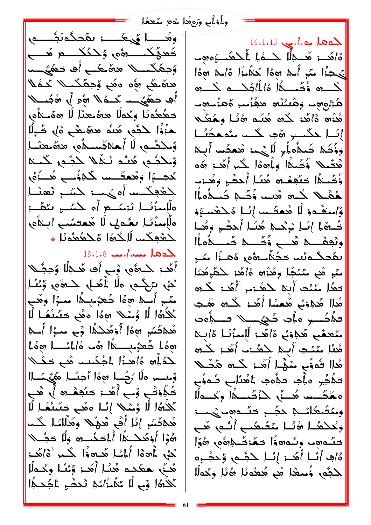وأوأب وروها هُو مَعْمَا

وهُـــا فَي هُـــز بِمُحكَّمَتُوْـــمِ ضَعِيَهُكُمِــــوةَى وَلِكُكُــــع هُــــــع وُحِكَكَــــــلا مدهَّـمَكَــــع أُبْ حَــهَيَــــب هدەً عَكَمٍ وَهُمْ وَمُحِكَمُكُمْ كَمُصَلًّا لَمْتَ الْمَرَىٰ أَڢ حَقَّيۡ ؎ كَـــهُ لا ۞ْهِ ﴾ ۞ هُجُــــلا حَعُدُونَا وِكُدلًا هِمَحْمَدْاً لَا هِمَٰــٰدُونِ هِزُوٗا لِحَجُّمٍ هُنُّهُ هِهُمِعْے ةَ)، ضَرِلًا وَّىكجَّــو، لَا أَحمَكْمِّســٰدُّو، هضَعثــا وُلحبُْمٍ هُنُه سُلَّمَا لحبُمٍ كَسنا كْجِبُرُا وَهُعَفَّــبِ كَلِمْؤُنِّـ هُــزُىُ ولَّاسِدَّنُــا نَزِيمَـــع أَو كِمَـــز بِمَعَـــز رەلْبَا بېشتىمىڭ لا شىمىتىپ /ب لِحْقُوكُس لَالْكُرُهُ الْمُحْمُدُونَا ﴾  $18.1.8$   $\ldots$ ,  $\ldots$ أَهَٰــٰ; ـكـــهُ٥، وْبِ أَڢ هَــٰــدِالُا وَجِجُـــلا كْتُو سَرْجُــُـم، ولَا ـأَهُــلِ ـلْـــوهُورِ وَّعْنُــل مَمْـِ أَســمْ وَوَٰا كَعبَرْملِـٰدُا ممــرٗا وقْب كْلُهُا لُا وُعْمَلا هِهُا ۚ هُمْ حَنُّنُهُـا لُا هُدِكْمُبُنَّ وَوَٰٓا أُوۡهَٰكَـٰٰٓهُۢا وَٛبِي مِنۡ الۡ أُسِدِّ ادْهِمْ لَحْمَيْمِيْتِ الْأَوْلَى مَالِمُسْتَا الْمَوْمَ لِكُمُلُو هُ/مَدُّلُ لَكُمُعَت مَّت حَفْلًا وَّسِب ولَّا يُرجِّب هِوَا أَجِبُّبِ هَيَجِيُّبِ ا ثُكِّلُوْثُبِ وُبِ أَهُد: حَنُفِهُــْ۞ ﴾ هُب كْلُاهُا لَا وُسْلاً إِنَّا هِ مَى حَنَّىنُهُـا لَٰا هُدِكْسُ إِيَّا أَفِّي مُدَيِّلا وَهُلَّاسًا لَكُت هُوْا أُوْهَٰكَـٰذًا أَبِاحَـكَـــه ولًا حَجَّـــلا كْتُو بْأَ90ْلْ أَبِكْ كُعِدْوَٰلْ كُعْبِ ۚ وْأَكْتَبَ هُنِّي همَكمه هُنُا أَهُد; وِّنُنُا وِكَحالًا كْلاُهُا وْمِ لَا عْكَنْاْعُهِ نْدكْمِ لِمَحْكِمَا

 $16.1.13$  ممارسی هْ/هُـــز هُــــمْلًا لِـــهُ بِا لَمَـلْهُـــبِرُهِ مِ أَيْحِزًا مِنِّ أَمِهِ هِءًا كَتُمْنُوا وَأَمِهِ هِءًا كْسِرِهِ وَجَمِيسَهُلَ وْلَمْلْيَاهِكْسِيمَ كَسِيرِهِ هُزَرُوهِ وَهُلِيَدُهِ هَجَّزَمِ وَهُزُمِهِ هُنْزُهِ ۚ هُاهُدِ گُدهِ هُنَهِ هُالِ وَهُكُلا إِنَّا حَكَّمَـٰبِ هَٰدِ كُـُـد مُعْمَدُنُـا وَذَكَمِ كَعَلَاهِ لَم يُسْءَ هُعَكَبٍ أَبِيْدً هْتُمِلًا وَّضُمُّا وِلَمِيهِمَا كُبِ أُهْدِ هَء وَّكَمِنكُل حَتَّفَهُـــ90 هُنُــل أَحْشَــر وهُـــزب هُهْمِلا لِحُمْ هُنِب وَّضُمْ ضَيْؤُهِ إِلَ وْْامِيْدُووْ لَا مْحْكَىما إِنَّا كَكِنْسَخْوْ كُـِهْ إِلَـٰا بْبِيْحِـمِ هُنُـا أَحِكْـِ وهُـا ونُعِمْــــــمْ مْـــــــمْ ذَــَـــــمْ خَــــــٰذُه أَا بهُحكُمسُه حَجُلَاــوهُ مِ هَمـزُا مَيْ مِّمٍ مِّي مَمْنُجْلِ وِهُنْزَهِ ۚ وَٱهْدِ لِلْكَبِرِهُمْا تععُل مَمْنُتِ أَيْنَا لِلْحَصَّرْبِ ۚ أُهْتَ لَكُلُّتُ هُاا هُدٖوۡبُ مُعِسُا اُهٗد; كُــُرُّ هُــب تَجْجُـــبِ وَأَجَدٍ شَيْمِــَـــلا تَــــَجْوَج مَعمَى هَدِدِهُ هَاهُدِ لَلِمِنَّلِ هَابِد هُنُا مَمْدِ أَبِيا لِمَعْنِ أَهْزِ كُنْ هَ هُاا ثُونًى عُهْلٍ أُهُدِ كُـهِ هُضْلا تجْجُبِ ولَمِ تجْوَب لمُحَلَّبٍ ثَـُوفُ وَمَعْصُمُاتُكُمْ حَجَّـــ حَصَّــــمِهِ نَيْحِــــز وحُكْمًا هُنُا مُثَمَّمَى أَنَّـهِ ۚ ثَبِ حَسَّمِينَ وَشَمَرَةُ الْحَكَمْ ذَكْلِمِينَ وَهُوْا هُ/ڢ ٱۡنُــا ٱُهَــ: ٳنُــا ܥجُــم وَّـدجَــبوه لِحْجُم، وُسِعْدَ هُي هُعِثَه بُنْ هُ بُدْ وَكُمِلًا ۖ